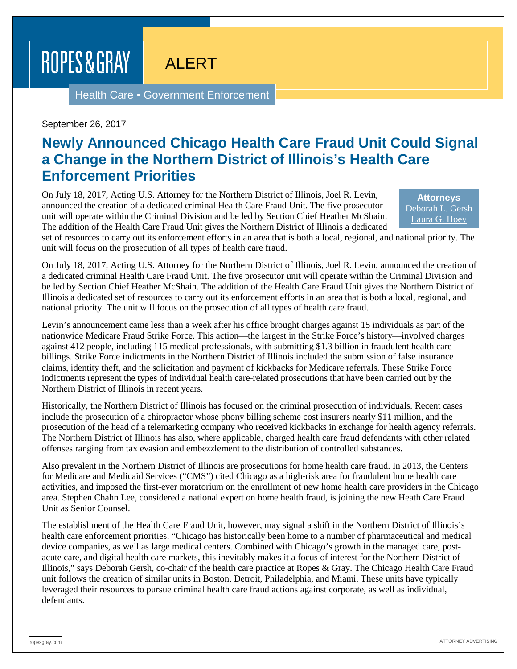## ROPES & GRAY

ALERT

Health Care . Government Enforcement

September 26, 2017

## **Newly Announced Chicago Health Care Fraud Unit Could Signal a Change in the Northern District of Illinois's Health Care Enforcement Priorities**

On July 18, 2017, Acting U.S. Attorney for the Northern District of Illinois, Joel R. Levin, announced the creation of a dedicated criminal Health Care Fraud Unit. The five prosecutor unit will operate within the Criminal Division and be led by Section Chief Heather McShain. The addition of the Health Care Fraud Unit gives the Northern District of Illinois a dedicated

**Attorneys** [Deborah L. Gersh](https://www.ropesgray.com/biographies/g/deborah-gersh.aspx) [Laura G. Hoey](https://www.ropesgray.com/biographies/h/laura-g-hoey.aspx)

set of resources to carry out its enforcement efforts in an area that is both a local, regional, and national priority. The unit will focus on the prosecution of all types of health care fraud.

On July 18, 2017, Acting U.S. Attorney for the Northern District of Illinois, Joel R. Levin, announced the creation of a dedicated criminal Health Care Fraud Unit. The five prosecutor unit will operate within the Criminal Division and be led by Section Chief Heather McShain. The addition of the Health Care Fraud Unit gives the Northern District of Illinois a dedicated set of resources to carry out its enforcement efforts in an area that is both a local, regional, and national priority. The unit will focus on the prosecution of all types of health care fraud.

Levin's announcement came less than a week after his office brought charges against 15 individuals as part of the nationwide Medicare Fraud Strike Force. This action—the largest in the Strike Force's history—involved charges against 412 people, including 115 medical professionals, with submitting \$1.3 billion in fraudulent health care billings. Strike Force indictments in the Northern District of Illinois included the submission of false insurance claims, identity theft, and the solicitation and payment of kickbacks for Medicare referrals. These Strike Force indictments represent the types of individual health care-related prosecutions that have been carried out by the Northern District of Illinois in recent years.

Historically, the Northern District of Illinois has focused on the criminal prosecution of individuals. Recent cases include the prosecution of a chiropractor whose phony billing scheme cost insurers nearly \$11 million, and the prosecution of the head of a telemarketing company who received kickbacks in exchange for health agency referrals. The Northern District of Illinois has also, where applicable, charged health care fraud defendants with other related offenses ranging from tax evasion and embezzlement to the distribution of controlled substances.

Also prevalent in the Northern District of Illinois are prosecutions for home health care fraud. In 2013, the Centers for Medicare and Medicaid Services ("CMS") cited Chicago as a high-risk area for fraudulent home health care activities, and imposed the first-ever moratorium on the enrollment of new home health care providers in the Chicago area. Stephen Chahn Lee, considered a national expert on home health fraud, is joining the new Heath Care Fraud Unit as Senior Counsel.

The establishment of the Health Care Fraud Unit, however, may signal a shift in the Northern District of Illinois's health care enforcement priorities. "Chicago has historically been home to a number of pharmaceutical and medical device companies, as well as large medical centers. Combined with Chicago's growth in the managed care, postacute care, and digital health care markets, this inevitably makes it a focus of interest for the Northern District of Illinois," says Deborah Gersh, co-chair of the health care practice at Ropes & Gray. The Chicago Health Care Fraud unit follows the creation of similar units in Boston, Detroit, Philadelphia, and Miami. These units have typically leveraged their resources to pursue criminal health care fraud actions against corporate, as well as individual, defendants.